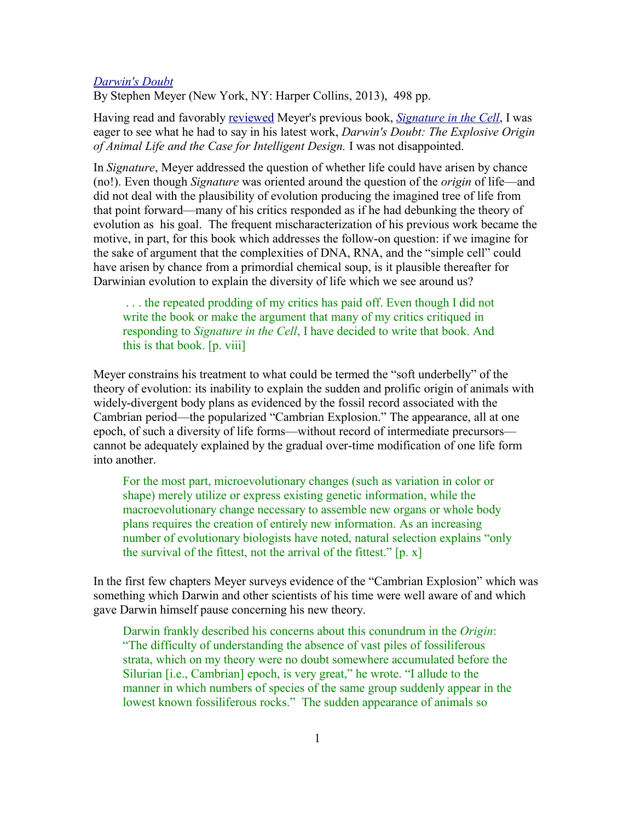## *[Darwin's Doubt](http://www.spiritandtruth.org/id/isbn.htm?9780062071477)*

By Stephen Meyer (New York, NY: Harper Collins, 2013), 498 pp.

Having read and favorably [reviewed](file:///C:/garland/users/spirit/website/teaching/reviews/tony_garland/review_of_signature_in_the_cell.htm) Meyer's previous book, *[Signature in the Cell](http://www.spiritandtruth.org/id/isbn.htm?9780061472794)*, I was eager to see what he had to say in his latest work, *Darwin's Doubt: The Explosive Origin of Animal Life and the Case for Intelligent Design.* I was not disappointed.

In *Signature*, Meyer addressed the question of whether life could have arisen by chance (no!). Even though *Signature* was oriented around the question of the *origin* of life—and did not deal with the plausibility of evolution producing the imagined tree of life from that point forward—many of his critics responded as if he had debunking the theory of evolution as his goal. The frequent mischaracterization of his previous work became the motive, in part, for this book which addresses the follow-on question: if we imagine for the sake of argument that the complexities of DNA, RNA, and the "simple cell" could have arisen by chance from a primordial chemical soup, is it plausible thereafter for Darwinian evolution to explain the diversity of life which we see around us?

 . . . the repeated prodding of my critics has paid off. Even though I did not write the book or make the argument that many of my critics critiqued in responding to *Signature in the Cell*, I have decided to write that book. And this is that book. [p. viii]

Meyer constrains his treatment to what could be termed the "soft underbelly" of the theory of evolution: its inability to explain the sudden and prolific origin of animals with widely-divergent body plans as evidenced by the fossil record associated with the Cambrian period—the popularized "Cambrian Explosion." The appearance, all at one epoch, of such a diversity of life forms—without record of intermediate precursors cannot be adequately explained by the gradual over-time modification of one life form into another.

For the most part, microevolutionary changes (such as variation in color or shape) merely utilize or express existing genetic information, while the macroevolutionary change necessary to assemble new organs or whole body plans requires the creation of entirely new information. As an increasing number of evolutionary biologists have noted, natural selection explains "only the survival of the fittest, not the arrival of the fittest."  $[p, x]$ 

In the first few chapters Meyer surveys evidence of the "Cambrian Explosion" which was something which Darwin and other scientists of his time were well aware of and which gave Darwin himself pause concerning his new theory.

Darwin frankly described his concerns about this conundrum in the *Origin*: "The difficulty of understanding the absence of vast piles of fossiliferous strata, which on my theory were no doubt somewhere accumulated before the Silurian [i.e., Cambrian] epoch, is very great," he wrote. "I allude to the manner in which numbers of species of the same group suddenly appear in the lowest known fossiliferous rocks." The sudden appearance of animals so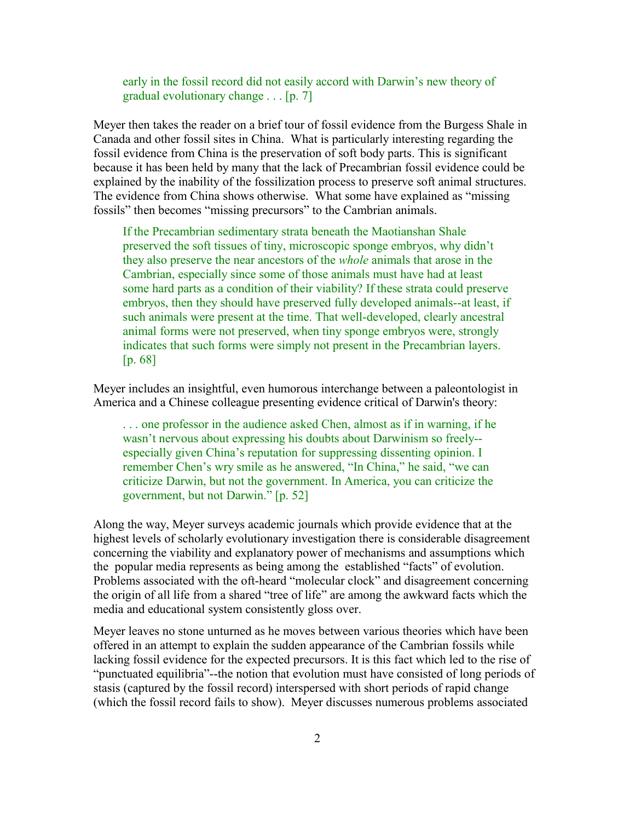early in the fossil record did not easily accord with Darwin's new theory of gradual evolutionary change . . . [p. 7]

Meyer then takes the reader on a brief tour of fossil evidence from the Burgess Shale in Canada and other fossil sites in China. What is particularly interesting regarding the fossil evidence from China is the preservation of soft body parts. This is significant because it has been held by many that the lack of Precambrian fossil evidence could be explained by the inability of the fossilization process to preserve soft animal structures. The evidence from China shows otherwise. What some have explained as "missing fossils" then becomes "missing precursors" to the Cambrian animals.

If the Precambrian sedimentary strata beneath the Maotianshan Shale preserved the soft tissues of tiny, microscopic sponge embryos, why didn't they also preserve the near ancestors of the *whole* animals that arose in the Cambrian, especially since some of those animals must have had at least some hard parts as a condition of their viability? If these strata could preserve embryos, then they should have preserved fully developed animals--at least, if such animals were present at the time. That well-developed, clearly ancestral animal forms were not preserved, when tiny sponge embryos were, strongly indicates that such forms were simply not present in the Precambrian layers. [p. 68]

Meyer includes an insightful, even humorous interchange between a paleontologist in America and a Chinese colleague presenting evidence critical of Darwin's theory:

. . . one professor in the audience asked Chen, almost as if in warning, if he wasn't nervous about expressing his doubts about Darwinism so freely- especially given China's reputation for suppressing dissenting opinion. I remember Chen's wry smile as he answered, "In China," he said, "we can criticize Darwin, but not the government. In America, you can criticize the government, but not Darwin." [p. 52]

Along the way, Meyer surveys academic journals which provide evidence that at the highest levels of scholarly evolutionary investigation there is considerable disagreement concerning the viability and explanatory power of mechanisms and assumptions which the popular media represents as being among the established "facts" of evolution. Problems associated with the oft-heard "molecular clock" and disagreement concerning the origin of all life from a shared "tree of life" are among the awkward facts which the media and educational system consistently gloss over.

Meyer leaves no stone unturned as he moves between various theories which have been offered in an attempt to explain the sudden appearance of the Cambrian fossils while lacking fossil evidence for the expected precursors. It is this fact which led to the rise of "punctuated equilibria"--the notion that evolution must have consisted of long periods of stasis (captured by the fossil record) interspersed with short periods of rapid change (which the fossil record fails to show). Meyer discusses numerous problems associated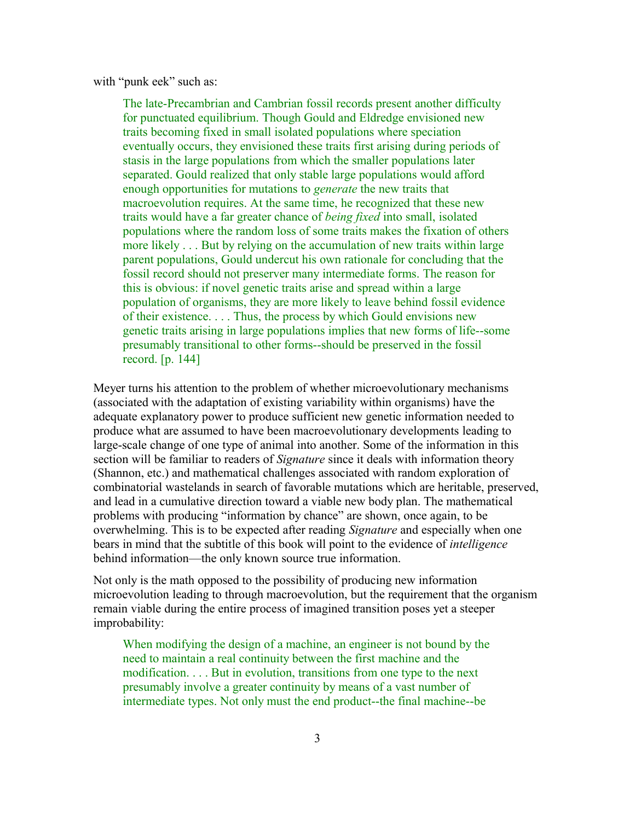with "punk eek" such as:

The late-Precambrian and Cambrian fossil records present another difficulty for punctuated equilibrium. Though Gould and Eldredge envisioned new traits becoming fixed in small isolated populations where speciation eventually occurs, they envisioned these traits first arising during periods of stasis in the large populations from which the smaller populations later separated. Gould realized that only stable large populations would afford enough opportunities for mutations to *generate* the new traits that macroevolution requires. At the same time, he recognized that these new traits would have a far greater chance of *being fixed* into small, isolated populations where the random loss of some traits makes the fixation of others more likely . . . But by relying on the accumulation of new traits within large parent populations, Gould undercut his own rationale for concluding that the fossil record should not preserver many intermediate forms. The reason for this is obvious: if novel genetic traits arise and spread within a large population of organisms, they are more likely to leave behind fossil evidence of their existence. . . . Thus, the process by which Gould envisions new genetic traits arising in large populations implies that new forms of life--some presumably transitional to other forms--should be preserved in the fossil record. [p. 144]

Meyer turns his attention to the problem of whether microevolutionary mechanisms (associated with the adaptation of existing variability within organisms) have the adequate explanatory power to produce sufficient new genetic information needed to produce what are assumed to have been macroevolutionary developments leading to large-scale change of one type of animal into another. Some of the information in this section will be familiar to readers of *Signature* since it deals with information theory (Shannon, etc.) and mathematical challenges associated with random exploration of combinatorial wastelands in search of favorable mutations which are heritable, preserved, and lead in a cumulative direction toward a viable new body plan. The mathematical problems with producing "information by chance" are shown, once again, to be overwhelming. This is to be expected after reading *Signature* and especially when one bears in mind that the subtitle of this book will point to the evidence of *intelligence* behind information—the only known source true information.

Not only is the math opposed to the possibility of producing new information microevolution leading to through macroevolution, but the requirement that the organism remain viable during the entire process of imagined transition poses yet a steeper improbability:

When modifying the design of a machine, an engineer is not bound by the need to maintain a real continuity between the first machine and the modification. . . . But in evolution, transitions from one type to the next presumably involve a greater continuity by means of a vast number of intermediate types. Not only must the end product--the final machine--be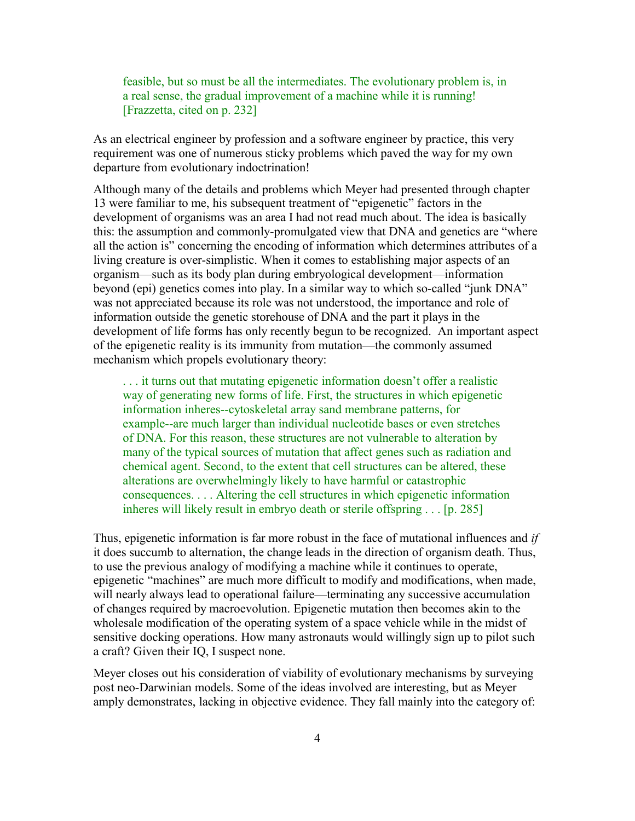feasible, but so must be all the intermediates. The evolutionary problem is, in a real sense, the gradual improvement of a machine while it is running! [Frazzetta, cited on p. 232]

As an electrical engineer by profession and a software engineer by practice, this very requirement was one of numerous sticky problems which paved the way for my own departure from evolutionary indoctrination!

Although many of the details and problems which Meyer had presented through chapter 13 were familiar to me, his subsequent treatment of "epigenetic" factors in the development of organisms was an area I had not read much about. The idea is basically this: the assumption and commonly-promulgated view that DNA and genetics are "where all the action is" concerning the encoding of information which determines attributes of a living creature is over-simplistic. When it comes to establishing major aspects of an organism—such as its body plan during embryological development—information beyond (epi) genetics comes into play. In a similar way to which so-called "junk DNA" was not appreciated because its role was not understood, the importance and role of information outside the genetic storehouse of DNA and the part it plays in the development of life forms has only recently begun to be recognized. An important aspect of the epigenetic reality is its immunity from mutation—the commonly assumed mechanism which propels evolutionary theory:

. . . it turns out that mutating epigenetic information doesn't offer a realistic way of generating new forms of life. First, the structures in which epigenetic information inheres--cytoskeletal array sand membrane patterns, for example--are much larger than individual nucleotide bases or even stretches of DNA. For this reason, these structures are not vulnerable to alteration by many of the typical sources of mutation that affect genes such as radiation and chemical agent. Second, to the extent that cell structures can be altered, these alterations are overwhelmingly likely to have harmful or catastrophic consequences. . . . Altering the cell structures in which epigenetic information inheres will likely result in embryo death or sterile offspring . . . [p. 285]

Thus, epigenetic information is far more robust in the face of mutational influences and *if* it does succumb to alternation, the change leads in the direction of organism death. Thus, to use the previous analogy of modifying a machine while it continues to operate, epigenetic "machines" are much more difficult to modify and modifications, when made, will nearly always lead to operational failure—terminating any successive accumulation of changes required by macroevolution. Epigenetic mutation then becomes akin to the wholesale modification of the operating system of a space vehicle while in the midst of sensitive docking operations. How many astronauts would willingly sign up to pilot such a craft? Given their IQ, I suspect none.

Meyer closes out his consideration of viability of evolutionary mechanisms by surveying post neo-Darwinian models. Some of the ideas involved are interesting, but as Meyer amply demonstrates, lacking in objective evidence. They fall mainly into the category of: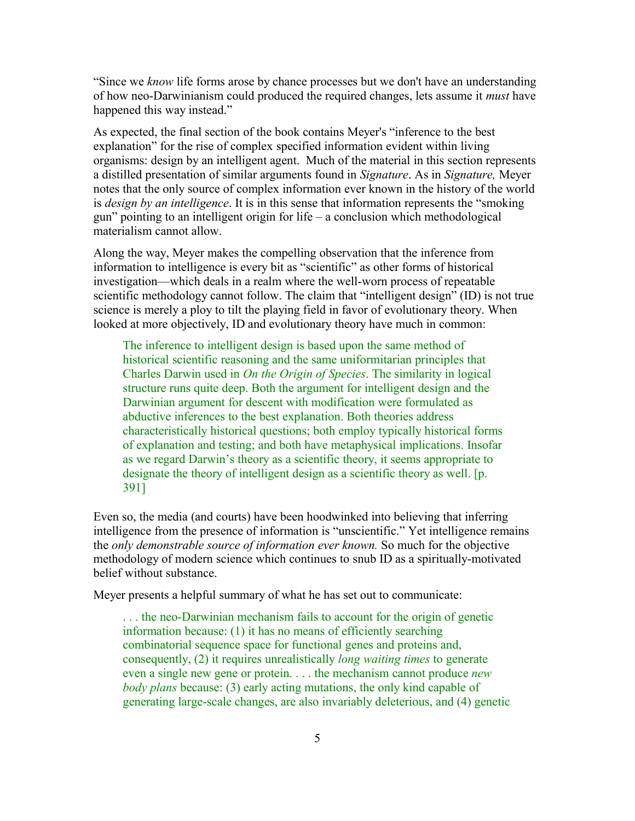"Since we *know* life forms arose by chance processes but we don't have an understanding of how neo-Darwinianism could produced the required changes, lets assume it *must* have happened this way instead."

As expected, the final section of the book contains Meyer's "inference to the best explanation" for the rise of complex specified information evident within living organisms: design by an intelligent agent. Much of the material in this section represents a distilled presentation of similar arguments found in *Signature*. As in *Signature,* Meyer notes that the only source of complex information ever known in the history of the world is *design by an intelligence*. It is in this sense that information represents the "smoking gun" pointing to an intelligent origin for life – a conclusion which methodological materialism cannot allow.

Along the way, Meyer makes the compelling observation that the inference from information to intelligence is every bit as "scientific" as other forms of historical investigation—which deals in a realm where the well-worn process of repeatable scientific methodology cannot follow. The claim that "intelligent design" (ID) is not true science is merely a ploy to tilt the playing field in favor of evolutionary theory. When looked at more objectively, ID and evolutionary theory have much in common:

The inference to intelligent design is based upon the same method of historical scientific reasoning and the same uniformitarian principles that Charles Darwin used in *On the Origin of Species*. The similarity in logical structure runs quite deep. Both the argument for intelligent design and the Darwinian argument for descent with modification were formulated as abductive inferences to the best explanation. Both theories address characteristically historical questions; both employ typically historical forms of explanation and testing; and both have metaphysical implications. Insofar as we regard Darwin's theory as a scientific theory, it seems appropriate to designate the theory of intelligent design as a scientific theory as well. [p. 391]

Even so, the media (and courts) have been hoodwinked into believing that inferring intelligence from the presence of information is "unscientific." Yet intelligence remains the *only demonstrable source of information ever known.* So much for the objective methodology of modern science which continues to snub ID as a spiritually-motivated belief without substance.

Meyer presents a helpful summary of what he has set out to communicate:

. . . the neo-Darwinian mechanism fails to account for the origin of genetic information because: (1) it has no means of efficiently searching combinatorial sequence space for functional genes and proteins and, consequently, (2) it requires unrealistically *long waiting times* to generate even a single new gene or protein. . . . the mechanism cannot produce *new body plans* because: (3) early acting mutations, the only kind capable of generating large-scale changes, are also invariably deleterious, and (4) genetic